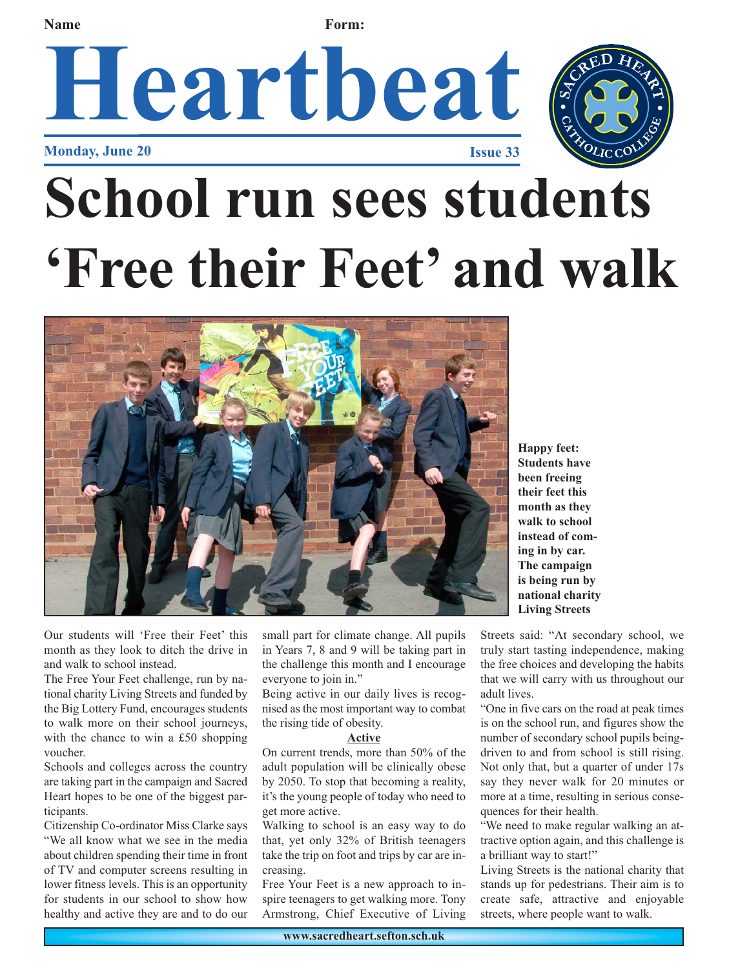#### **Name Form:**

## Heartbeat **Monday, June 20**



# **School run sees students 'Free their Feet' and walk**



Our students will 'Free their Feet' this month as they look to ditch the drive in and walk to school instead.

The Free Your Feet challenge, run by national charity Living Streets and funded by the Big Lottery Fund, encourages students to walk more on their school journeys, with the chance to win a £50 shopping voucher.

Schools and colleges across the country are taking part in the campaign and Sacred Heart hopes to be one of the biggest participants.

Citizenship Co-ordinator Miss Clarke says "We all know what we see in the media about children spending their time in front of TV and computer screens resulting in lower fitness levels. This is an opportunity for students in our school to show how healthy and active they are and to do our small part for climate change. All pupils in Years 7, 8 and 9 will be taking part in the challenge this month and I encourage everyone to join in."

Being active in our daily lives is recognised as the most important way to combat the rising tide of obesity.

#### **Active**

On current trends, more than 50% of the adult population will be clinically obese by 2050. To stop that becoming a reality, it's the young people of today who need to get more active.

Walking to school is an easy way to do that, yet only 32% of British teenagers take the trip on foot and trips by car are increasing.

Free Your Feet is a new approach to inspire teenagers to get walking more. Tony Armstrong, Chief Executive of Living

**Happy feet: Students have been freeing their feet this month as they walk to school instead of coming in by car. The campaign is being run by national charity Living Streets**

Streets said: "At secondary school, we truly start tasting independence, making the free choices and developing the habits that we will carry with us throughout our adult lives.

"One in five cars on the road at peak times is on the school run, and figures show the number of secondary school pupils beingdriven to and from school is still rising. Not only that, but a quarter of under 17s say they never walk for 20 minutes or more at a time, resulting in serious consequences for their health.

"We need to make regular walking an attractive option again, and this challenge is a brilliant way to start!"

Living Streets is the national charity that stands up for pedestrians. Their aim is to create safe, attractive and enjoyable streets, where people want to walk.

**www.sacredheart.sefton.sch.uk**